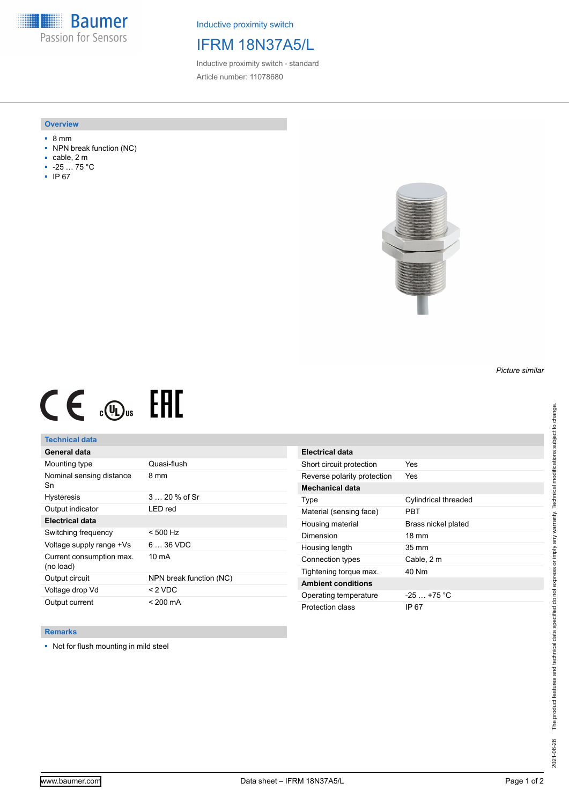**Baumer** Passion for Sensors

Inductive proximity switch

# IFRM 18N37A5/L

Inductive proximity switch - standard Article number: 11078680

#### **Overview**

- 8 mm
- NPN break function (NC)
- cable, 2 m
- -25 … 75 °C
- IP 67



# $CE \mathcal{L}$  (Dus FRE

## **Technical data**

| General data                          |                         |
|---------------------------------------|-------------------------|
| Mounting type                         | Quasi-flush             |
| Nominal sensing distance<br>Sn        | 8 mm                    |
| <b>Hysteresis</b>                     | 3  20 % of Sr           |
| Output indicator                      | LED red                 |
| <b>Electrical data</b>                |                         |
| Switching frequency                   | $< 500$ Hz              |
| Voltage supply range +Vs              | $636$ VDC               |
| Current consumption max.<br>(no load) | $10 \text{ mA}$         |
| Output circuit                        | NPN break function (NC) |
| Voltage drop Vd                       | $<$ 2 VDC               |
| Output current                        | < 200 mA                |

| Electrical data             |                      |
|-----------------------------|----------------------|
| Short circuit protection    | Yes                  |
| Reverse polarity protection | Yes                  |
| <b>Mechanical data</b>      |                      |
| Type                        | Cylindrical threaded |
| Material (sensing face)     | PRT                  |
| Housing material            | Brass nickel plated  |
| Dimension                   | $18 \text{ mm}$      |
| Housing length              | $35 \text{ mm}$      |
| Connection types            | Cable, 2 m           |
| Tightening torque max.      | 40 Nm                |
| <b>Ambient conditions</b>   |                      |
| Operating temperature       | $-25$ $+75$ °C       |
| Protection class            | IP 67                |

### **Remarks**

■ Not for flush mounting in mild steel

*Picture similar*